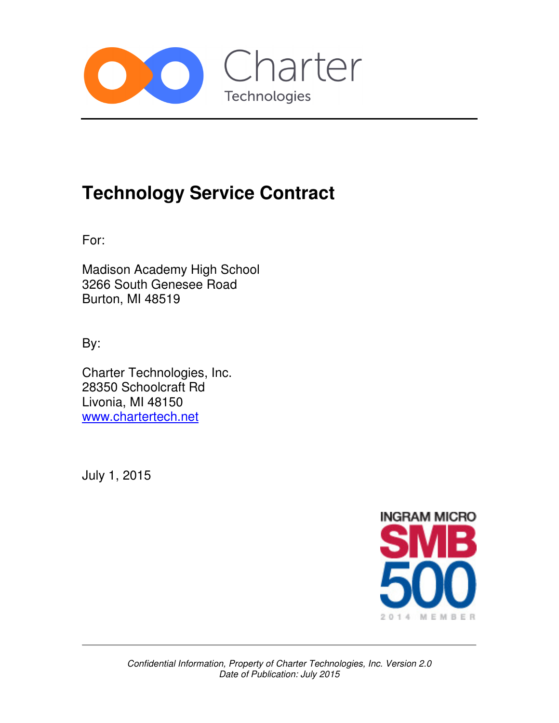

# **Technology Service Contract**

For:

Madison Academy High School 3266 South Genesee Road Burton, MI 48519

By:

Charter Technologies, Inc. 28350 Schoolcraft Rd Livonia, MI 48150 www.chartertech.net

July 1, 2015

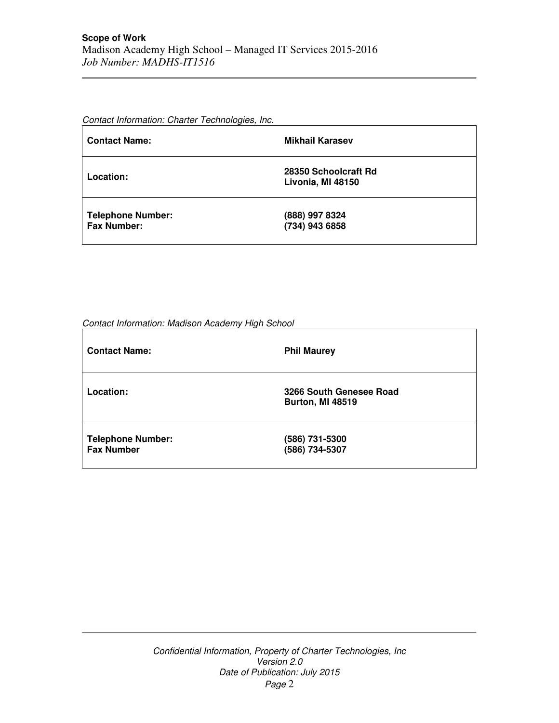Contact Information: Charter Technologies, Inc.

| <b>Contact Name:</b>                           | <b>Mikhail Karasev</b>                    |
|------------------------------------------------|-------------------------------------------|
| Location:                                      | 28350 Schoolcraft Rd<br>Livonia, MI 48150 |
| <b>Telephone Number:</b><br><b>Fax Number:</b> | (888) 997 8324<br>(734) 943 6858          |

Contact Information: Madison Academy High School

| <b>Contact Name:</b>                          | <b>Phil Maurey</b>                                 |
|-----------------------------------------------|----------------------------------------------------|
| Location:                                     | 3266 South Genesee Road<br><b>Burton, MI 48519</b> |
| <b>Telephone Number:</b><br><b>Fax Number</b> | (586) 731-5300<br>(586) 734-5307                   |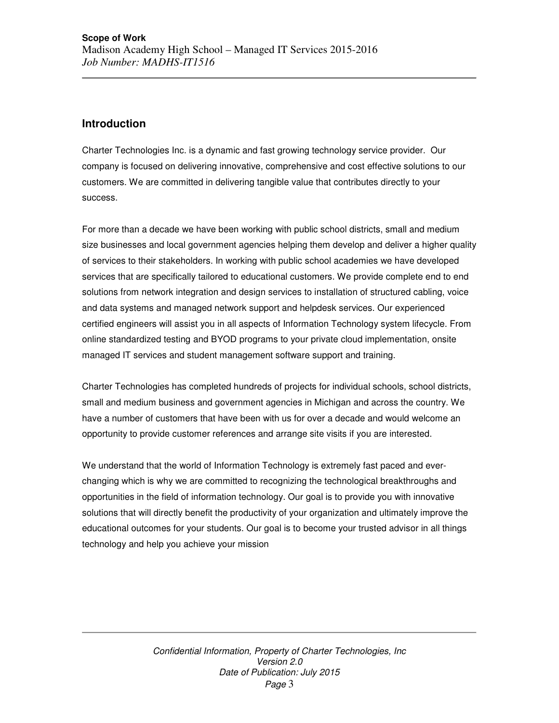# **Introduction**

Charter Technologies Inc. is a dynamic and fast growing technology service provider. Our company is focused on delivering innovative, comprehensive and cost effective solutions to our customers. We are committed in delivering tangible value that contributes directly to your success.

For more than a decade we have been working with public school districts, small and medium size businesses and local government agencies helping them develop and deliver a higher quality of services to their stakeholders. In working with public school academies we have developed services that are specifically tailored to educational customers. We provide complete end to end solutions from network integration and design services to installation of structured cabling, voice and data systems and managed network support and helpdesk services. Our experienced certified engineers will assist you in all aspects of Information Technology system lifecycle. From online standardized testing and BYOD programs to your private cloud implementation, onsite managed IT services and student management software support and training.

Charter Technologies has completed hundreds of projects for individual schools, school districts, small and medium business and government agencies in Michigan and across the country. We have a number of customers that have been with us for over a decade and would welcome an opportunity to provide customer references and arrange site visits if you are interested.

We understand that the world of Information Technology is extremely fast paced and everchanging which is why we are committed to recognizing the technological breakthroughs and opportunities in the field of information technology. Our goal is to provide you with innovative solutions that will directly benefit the productivity of your organization and ultimately improve the educational outcomes for your students. Our goal is to become your trusted advisor in all things technology and help you achieve your mission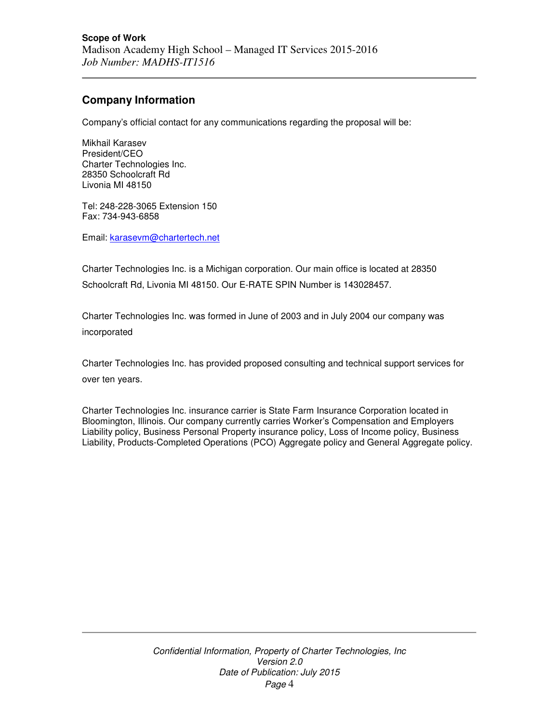# **Company Information**

Company's official contact for any communications regarding the proposal will be:

Mikhail Karasev President/CEO Charter Technologies Inc. 28350 Schoolcraft Rd Livonia MI 48150

Tel: 248-228-3065 Extension 150 Fax: 734-943-6858

Email: karasevm@chartertech.net

Charter Technologies Inc. is a Michigan corporation. Our main office is located at 28350 Schoolcraft Rd, Livonia MI 48150. Our E-RATE SPIN Number is 143028457.

Charter Technologies Inc. was formed in June of 2003 and in July 2004 our company was incorporated

Charter Technologies Inc. has provided proposed consulting and technical support services for over ten years.

Charter Technologies Inc. insurance carrier is State Farm Insurance Corporation located in Bloomington, Illinois. Our company currently carries Worker's Compensation and Employers Liability policy, Business Personal Property insurance policy, Loss of Income policy, Business Liability, Products-Completed Operations (PCO) Aggregate policy and General Aggregate policy.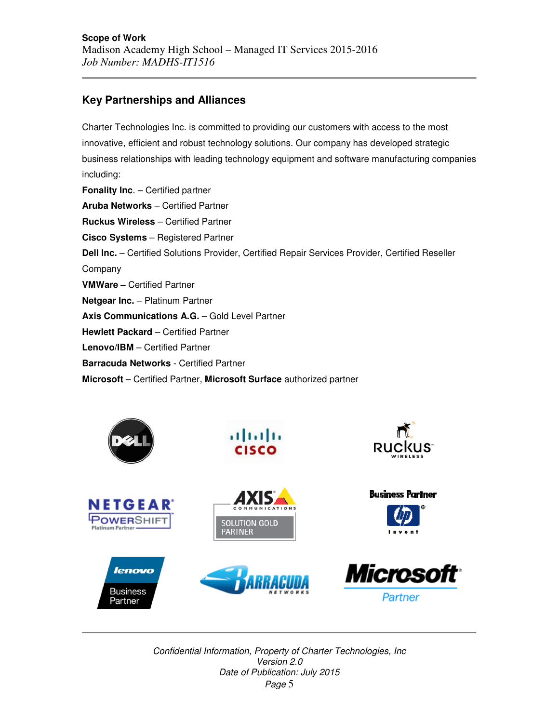# **Key Partnerships and Alliances**

Charter Technologies Inc. is committed to providing our customers with access to the most innovative, efficient and robust technology solutions. Our company has developed strategic business relationships with leading technology equipment and software manufacturing companies including: **Fonality Inc**. – Certified partner **Aruba Networks** – Certified Partner **Ruckus Wireless** – Certified Partner **Cisco Systems** – Registered Partner **Dell Inc.** – Certified Solutions Provider, Certified Repair Services Provider, Certified Reseller Company **VMWare –** Certified Partner **Netgear Inc.** – Platinum Partner **Axis Communications A.G.** – Gold Level Partner **Hewlett Packard** – Certified Partner **Lenovo/IBM** – Certified Partner **Barracuda Networks** - Certified Partner

**Microsoft** – Certified Partner, **Microsoft Surface** authorized partner

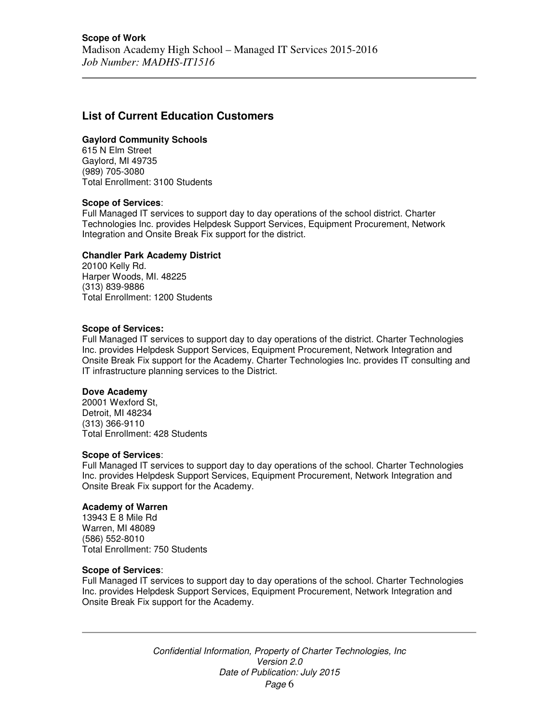# **List of Current Education Customers**

### **Gaylord Community Schools**

615 N Elm Street Gaylord, MI 49735 (989) 705-3080 Total Enrollment: 3100 Students

### **Scope of Services**:

Full Managed IT services to support day to day operations of the school district. Charter Technologies Inc. provides Helpdesk Support Services, Equipment Procurement, Network Integration and Onsite Break Fix support for the district.

### **Chandler Park Academy District**

20100 Kelly Rd. Harper Woods, MI. 48225 (313) 839-9886 Total Enrollment: 1200 Students

#### **Scope of Services:**

Full Managed IT services to support day to day operations of the district. Charter Technologies Inc. provides Helpdesk Support Services, Equipment Procurement, Network Integration and Onsite Break Fix support for the Academy. Charter Technologies Inc. provides IT consulting and IT infrastructure planning services to the District.

#### **Dove Academy**

20001 Wexford St, Detroit, MI 48234 (313) 366-9110 Total Enrollment: 428 Students

#### **Scope of Services**:

Full Managed IT services to support day to day operations of the school. Charter Technologies Inc. provides Helpdesk Support Services, Equipment Procurement, Network Integration and Onsite Break Fix support for the Academy.

### **Academy of Warren**

13943 E 8 Mile Rd Warren, MI 48089 (586) 552-8010 Total Enrollment: 750 Students

#### **Scope of Services**:

Full Managed IT services to support day to day operations of the school. Charter Technologies Inc. provides Helpdesk Support Services, Equipment Procurement, Network Integration and Onsite Break Fix support for the Academy.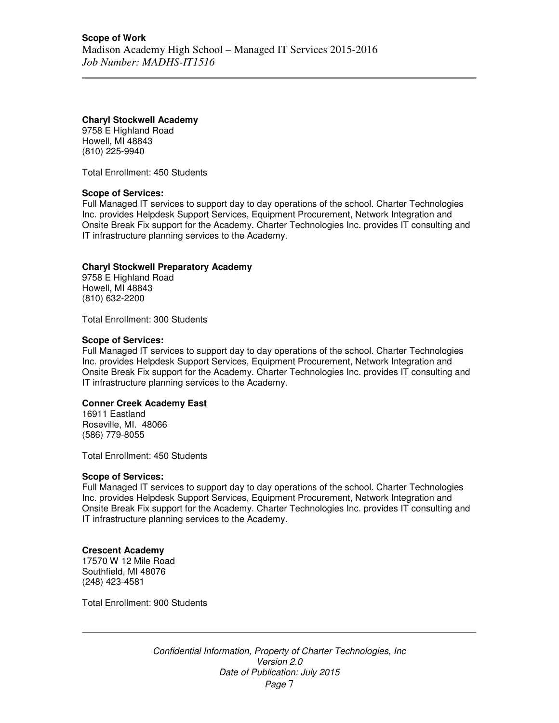# **Charyl Stockwell Academy**

9758 E Highland Road Howell, MI 48843 (810) 225-9940

Total Enrollment: 450 Students

# **Scope of Services:**

Full Managed IT services to support day to day operations of the school. Charter Technologies Inc. provides Helpdesk Support Services, Equipment Procurement, Network Integration and Onsite Break Fix support for the Academy. Charter Technologies Inc. provides IT consulting and IT infrastructure planning services to the Academy.

# **Charyl Stockwell Preparatory Academy**

9758 E Highland Road Howell, MI 48843 (810) 632-2200

Total Enrollment: 300 Students

# **Scope of Services:**

Full Managed IT services to support day to day operations of the school. Charter Technologies Inc. provides Helpdesk Support Services, Equipment Procurement, Network Integration and Onsite Break Fix support for the Academy. Charter Technologies Inc. provides IT consulting and IT infrastructure planning services to the Academy.

### **Conner Creek Academy East**

16911 Eastland Roseville, MI. 48066 (586) 779-8055

Total Enrollment: 450 Students

### **Scope of Services:**

Full Managed IT services to support day to day operations of the school. Charter Technologies Inc. provides Helpdesk Support Services, Equipment Procurement, Network Integration and Onsite Break Fix support for the Academy. Charter Technologies Inc. provides IT consulting and IT infrastructure planning services to the Academy.

# **Crescent Academy**

17570 W 12 Mile Road Southfield, MI 48076 (248) 423-4581

Total Enrollment: 900 Students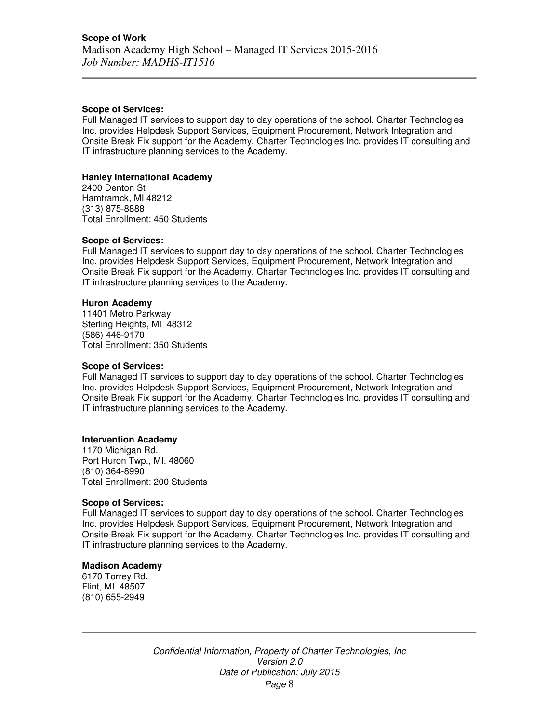#### **Scope of Services:**

Full Managed IT services to support day to day operations of the school. Charter Technologies Inc. provides Helpdesk Support Services, Equipment Procurement, Network Integration and Onsite Break Fix support for the Academy. Charter Technologies Inc. provides IT consulting and IT infrastructure planning services to the Academy.

## **Hanley International Academy**

2400 Denton St Hamtramck, MI 48212 (313) 875-8888 Total Enrollment: 450 Students

### **Scope of Services:**

Full Managed IT services to support day to day operations of the school. Charter Technologies Inc. provides Helpdesk Support Services, Equipment Procurement, Network Integration and Onsite Break Fix support for the Academy. Charter Technologies Inc. provides IT consulting and IT infrastructure planning services to the Academy.

### **Huron Academy**

11401 Metro Parkway Sterling Heights, MI 48312 (586) 446-9170 Total Enrollment: 350 Students

#### **Scope of Services:**

Full Managed IT services to support day to day operations of the school. Charter Technologies Inc. provides Helpdesk Support Services, Equipment Procurement, Network Integration and Onsite Break Fix support for the Academy. Charter Technologies Inc. provides IT consulting and IT infrastructure planning services to the Academy.

### **Intervention Academy**

1170 Michigan Rd. Port Huron Twp., MI. 48060 (810) 364-8990 Total Enrollment: 200 Students

### **Scope of Services:**

Full Managed IT services to support day to day operations of the school. Charter Technologies Inc. provides Helpdesk Support Services, Equipment Procurement, Network Integration and Onsite Break Fix support for the Academy. Charter Technologies Inc. provides IT consulting and IT infrastructure planning services to the Academy.

#### **Madison Academy**

6170 Torrey Rd. Flint, MI. 48507 (810) 655-2949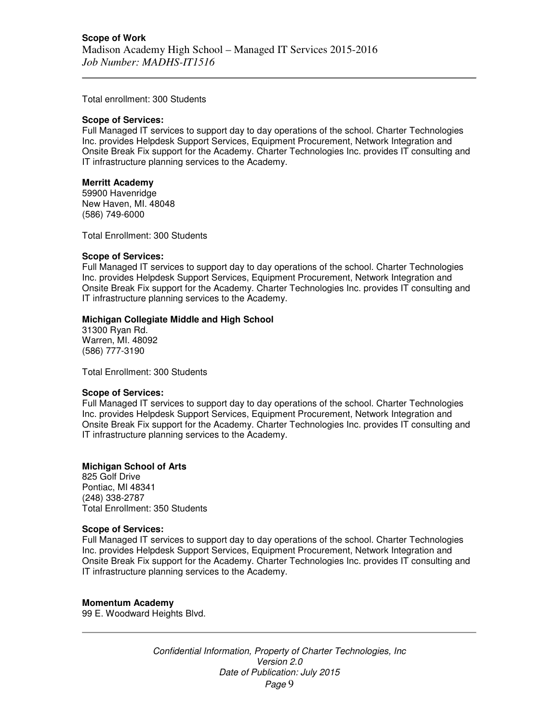Total enrollment: 300 Students

#### **Scope of Services:**

Full Managed IT services to support day to day operations of the school. Charter Technologies Inc. provides Helpdesk Support Services, Equipment Procurement, Network Integration and Onsite Break Fix support for the Academy. Charter Technologies Inc. provides IT consulting and IT infrastructure planning services to the Academy.

### **Merritt Academy**

59900 Havenridge New Haven, MI. 48048 (586) 749-6000

Total Enrollment: 300 Students

#### **Scope of Services:**

Full Managed IT services to support day to day operations of the school. Charter Technologies Inc. provides Helpdesk Support Services, Equipment Procurement, Network Integration and Onsite Break Fix support for the Academy. Charter Technologies Inc. provides IT consulting and IT infrastructure planning services to the Academy.

### **Michigan Collegiate Middle and High School**

31300 Ryan Rd. Warren, MI. 48092 (586) 777-3190

Total Enrollment: 300 Students

### **Scope of Services:**

Full Managed IT services to support day to day operations of the school. Charter Technologies Inc. provides Helpdesk Support Services, Equipment Procurement, Network Integration and Onsite Break Fix support for the Academy. Charter Technologies Inc. provides IT consulting and IT infrastructure planning services to the Academy.

# **Michigan School of Arts**

825 Golf Drive Pontiac, MI 48341 (248) 338-2787 Total Enrollment: 350 Students

### **Scope of Services:**

Full Managed IT services to support day to day operations of the school. Charter Technologies Inc. provides Helpdesk Support Services, Equipment Procurement, Network Integration and Onsite Break Fix support for the Academy. Charter Technologies Inc. provides IT consulting and IT infrastructure planning services to the Academy.

### **Momentum Academy**

99 E. Woodward Heights Blvd.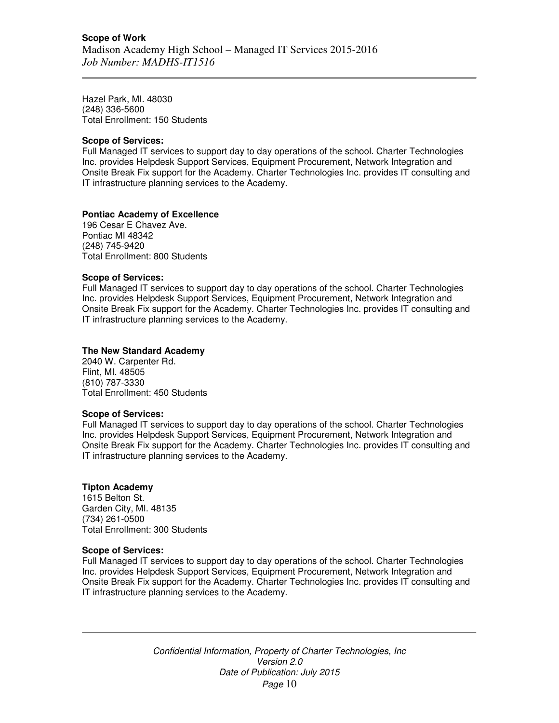Hazel Park, MI. 48030 (248) 336-5600 Total Enrollment: 150 Students

## **Scope of Services:**

Full Managed IT services to support day to day operations of the school. Charter Technologies Inc. provides Helpdesk Support Services, Equipment Procurement, Network Integration and Onsite Break Fix support for the Academy. Charter Technologies Inc. provides IT consulting and IT infrastructure planning services to the Academy.

# **Pontiac Academy of Excellence**

196 Cesar E Chavez Ave. Pontiac MI 48342 (248) 745-9420 Total Enrollment: 800 Students

# **Scope of Services:**

Full Managed IT services to support day to day operations of the school. Charter Technologies Inc. provides Helpdesk Support Services, Equipment Procurement, Network Integration and Onsite Break Fix support for the Academy. Charter Technologies Inc. provides IT consulting and IT infrastructure planning services to the Academy.

# **The New Standard Academy**

2040 W. Carpenter Rd. Flint, MI. 48505 (810) 787-3330 Total Enrollment: 450 Students

### **Scope of Services:**

Full Managed IT services to support day to day operations of the school. Charter Technologies Inc. provides Helpdesk Support Services, Equipment Procurement, Network Integration and Onsite Break Fix support for the Academy. Charter Technologies Inc. provides IT consulting and IT infrastructure planning services to the Academy.

### **Tipton Academy**

1615 Belton St. Garden City, MI. 48135 (734) 261-0500 Total Enrollment: 300 Students

### **Scope of Services:**

Full Managed IT services to support day to day operations of the school. Charter Technologies Inc. provides Helpdesk Support Services, Equipment Procurement, Network Integration and Onsite Break Fix support for the Academy. Charter Technologies Inc. provides IT consulting and IT infrastructure planning services to the Academy.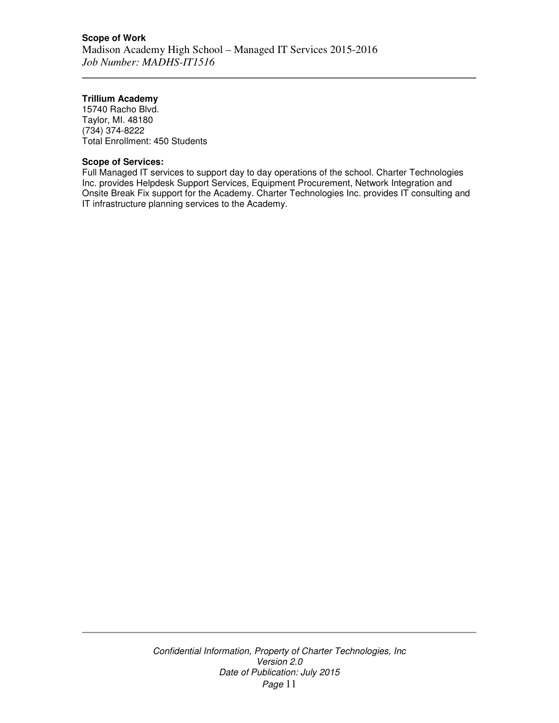# **Trillium Academy**

15740 Racho Blvd. Taylor, MI. 48180 (734) 374-8222 Total Enrollment: 450 Students

# **Scope of Services:**

Full Managed IT services to support day to day operations of the school. Charter Technologies Inc. provides Helpdesk Support Services, Equipment Procurement, Network Integration and Onsite Break Fix support for the Academy. Charter Technologies Inc. provides IT consulting and IT infrastructure planning services to the Academy.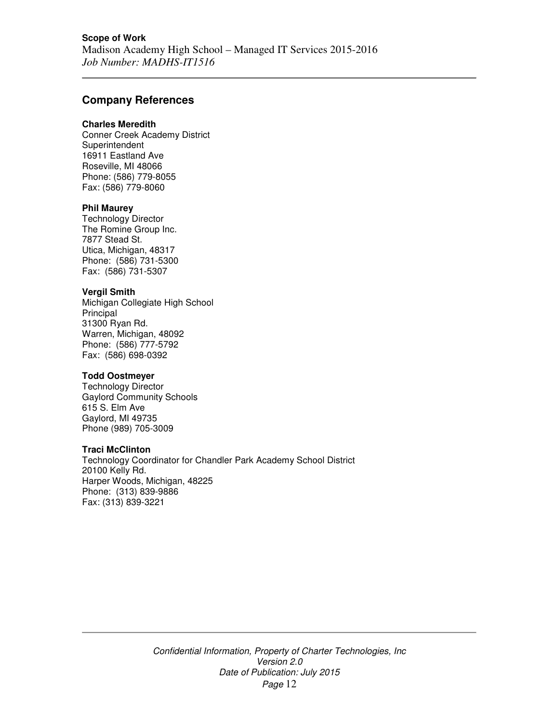# **Company References**

#### **Charles Meredith**

Conner Creek Academy District **Superintendent** 16911 Eastland Ave Roseville, MI 48066 Phone: (586) 779-8055 Fax: (586) 779-8060

# **Phil Maurey**

Technology Director The Romine Group Inc. 7877 Stead St. Utica, Michigan, 48317 Phone: (586) 731-5300 Fax: (586) 731-5307

### **Vergil Smith**

Michigan Collegiate High School **Principal** 31300 Ryan Rd. Warren, Michigan, 48092 Phone: (586) 777-5792 Fax: (586) 698-0392

# **Todd Oostmeyer**

Technology Director Gaylord Community Schools 615 S. Elm Ave Gaylord, MI 49735 Phone (989) 705-3009

## **Traci McClinton**

Technology Coordinator for Chandler Park Academy School District 20100 Kelly Rd. Harper Woods, Michigan, 48225 Phone: (313) 839-9886 Fax: (313) 839-3221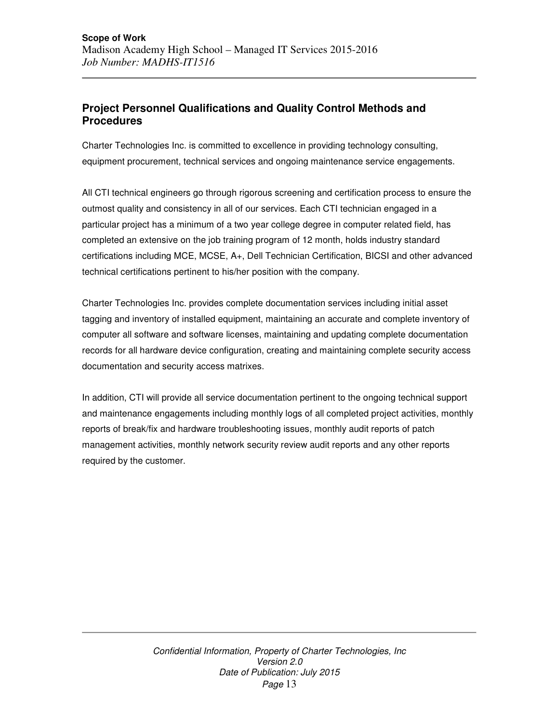# **Project Personnel Qualifications and Quality Control Methods and Procedures**

Charter Technologies Inc. is committed to excellence in providing technology consulting, equipment procurement, technical services and ongoing maintenance service engagements.

All CTI technical engineers go through rigorous screening and certification process to ensure the outmost quality and consistency in all of our services. Each CTI technician engaged in a particular project has a minimum of a two year college degree in computer related field, has completed an extensive on the job training program of 12 month, holds industry standard certifications including MCE, MCSE, A+, Dell Technician Certification, BICSI and other advanced technical certifications pertinent to his/her position with the company.

Charter Technologies Inc. provides complete documentation services including initial asset tagging and inventory of installed equipment, maintaining an accurate and complete inventory of computer all software and software licenses, maintaining and updating complete documentation records for all hardware device configuration, creating and maintaining complete security access documentation and security access matrixes.

In addition, CTI will provide all service documentation pertinent to the ongoing technical support and maintenance engagements including monthly logs of all completed project activities, monthly reports of break/fix and hardware troubleshooting issues, monthly audit reports of patch management activities, monthly network security review audit reports and any other reports required by the customer.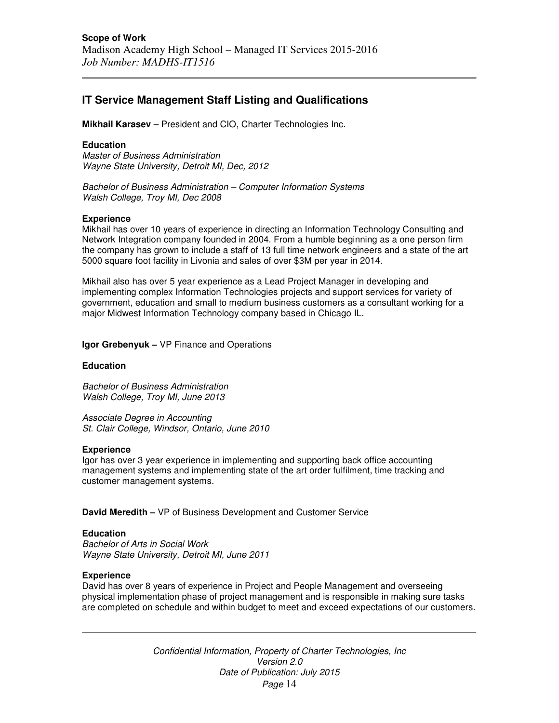# **IT Service Management Staff Listing and Qualifications**

**Mikhail Karasev** – President and CIO, Charter Technologies Inc.

#### **Education**

Master of Business Administration Wayne State University, Detroit MI, Dec, 2012

Bachelor of Business Administration – Computer Information Systems Walsh College, Troy MI, Dec 2008

#### **Experience**

Mikhail has over 10 years of experience in directing an Information Technology Consulting and Network Integration company founded in 2004. From a humble beginning as a one person firm the company has grown to include a staff of 13 full time network engineers and a state of the art 5000 square foot facility in Livonia and sales of over \$3M per year in 2014.

Mikhail also has over 5 year experience as a Lead Project Manager in developing and implementing complex Information Technologies projects and support services for variety of government, education and small to medium business customers as a consultant working for a major Midwest Information Technology company based in Chicago IL.

**Igor Grebenyuk –** VP Finance and Operations

#### **Education**

Bachelor of Business Administration Walsh College, Troy MI, June 2013

Associate Degree in Accounting St. Clair College, Windsor, Ontario, June 2010

#### **Experience**

Igor has over 3 year experience in implementing and supporting back office accounting management systems and implementing state of the art order fulfilment, time tracking and customer management systems.

**David Meredith –** VP of Business Development and Customer Service

### **Education**

Bachelor of Arts in Social Work Wayne State University, Detroit MI, June 2011

#### **Experience**

David has over 8 years of experience in Project and People Management and overseeing physical implementation phase of project management and is responsible in making sure tasks are completed on schedule and within budget to meet and exceed expectations of our customers.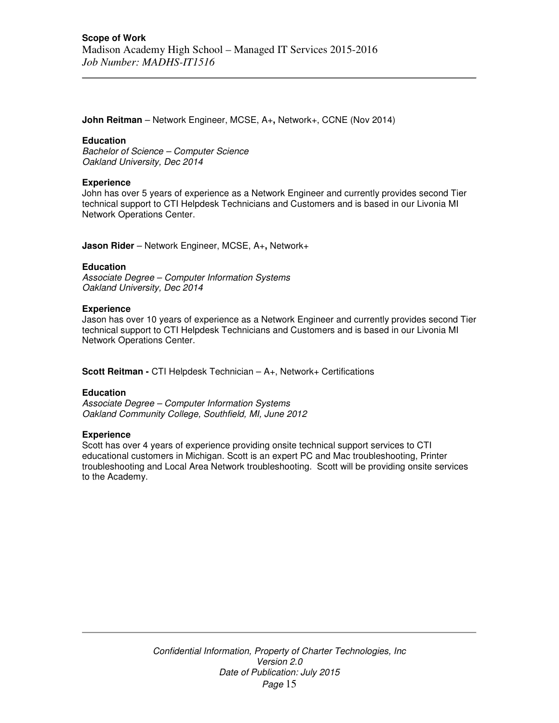**John Reitman** – Network Engineer, MCSE, A+**,** Network+, CCNE (Nov 2014)

#### **Education**

Bachelor of Science – Computer Science Oakland University, Dec 2014

#### **Experience**

John has over 5 years of experience as a Network Engineer and currently provides second Tier technical support to CTI Helpdesk Technicians and Customers and is based in our Livonia MI Network Operations Center.

**Jason Rider** – Network Engineer, MCSE, A+**,** Network+

#### **Education**

Associate Degree – Computer Information Systems Oakland University, Dec 2014

#### **Experience**

Jason has over 10 years of experience as a Network Engineer and currently provides second Tier technical support to CTI Helpdesk Technicians and Customers and is based in our Livonia MI Network Operations Center.

**Scott Reitman -** CTI Helpdesk Technician – A+, Network+ Certifications

### **Education**

Associate Degree – Computer Information Systems Oakland Community College, Southfield, MI, June 2012

### **Experience**

Scott has over 4 years of experience providing onsite technical support services to CTI educational customers in Michigan. Scott is an expert PC and Mac troubleshooting, Printer troubleshooting and Local Area Network troubleshooting. Scott will be providing onsite services to the Academy.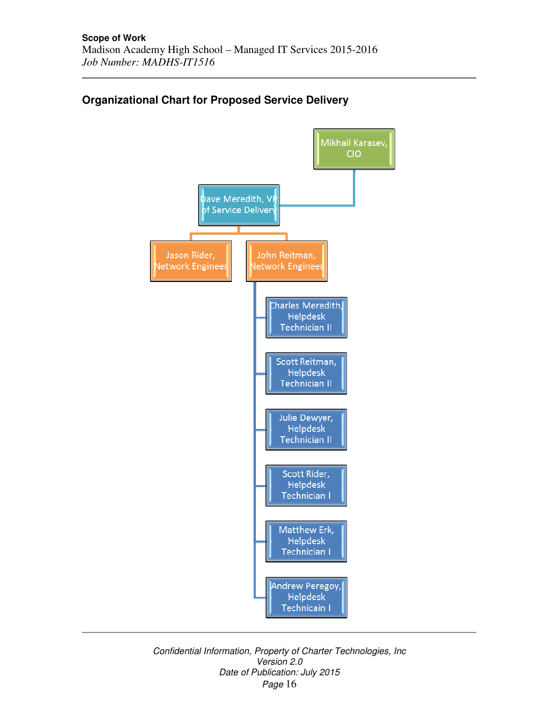

# **Organizational Chart for Proposed Service Delivery**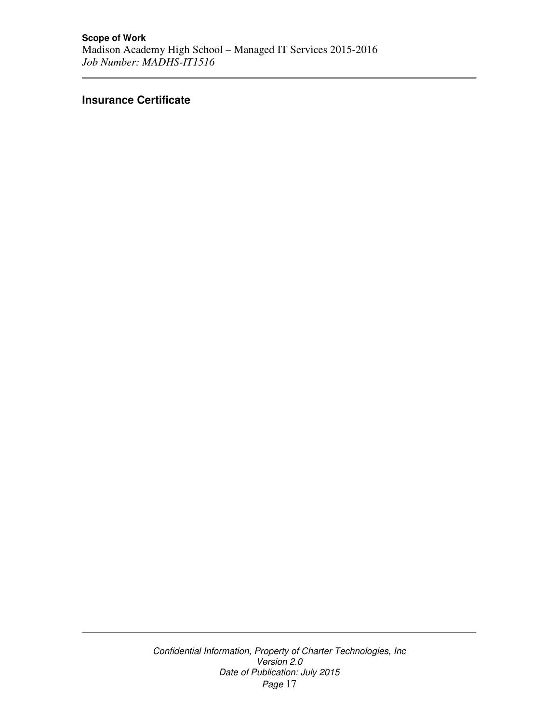# **Insurance Certificate**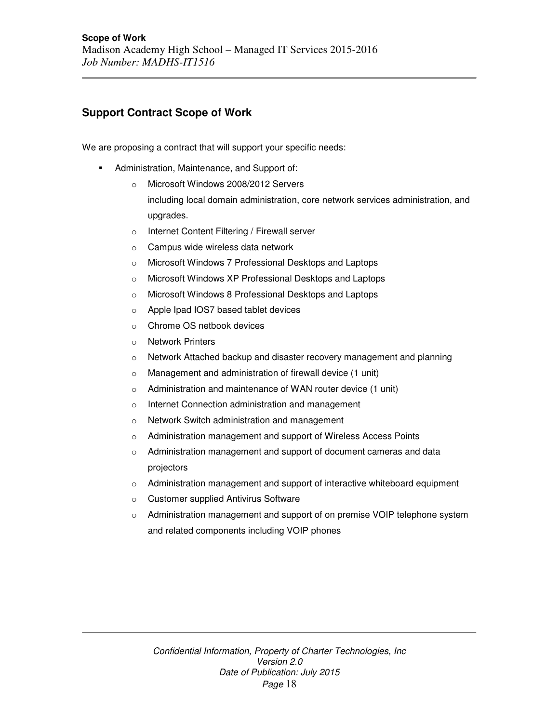# **Support Contract Scope of Work**

We are proposing a contract that will support your specific needs:

- Administration, Maintenance, and Support of:
	- o Microsoft Windows 2008/2012 Servers including local domain administration, core network services administration, and upgrades.
	- o Internet Content Filtering / Firewall server
	- o Campus wide wireless data network
	- o Microsoft Windows 7 Professional Desktops and Laptops
	- o Microsoft Windows XP Professional Desktops and Laptops
	- o Microsoft Windows 8 Professional Desktops and Laptops
	- o Apple Ipad IOS7 based tablet devices
	- o Chrome OS netbook devices
	- o Network Printers
	- o Network Attached backup and disaster recovery management and planning
	- o Management and administration of firewall device (1 unit)
	- o Administration and maintenance of WAN router device (1 unit)
	- o Internet Connection administration and management
	- o Network Switch administration and management
	- o Administration management and support of Wireless Access Points
	- o Administration management and support of document cameras and data projectors
	- o Administration management and support of interactive whiteboard equipment
	- o Customer supplied Antivirus Software
	- o Administration management and support of on premise VOIP telephone system and related components including VOIP phones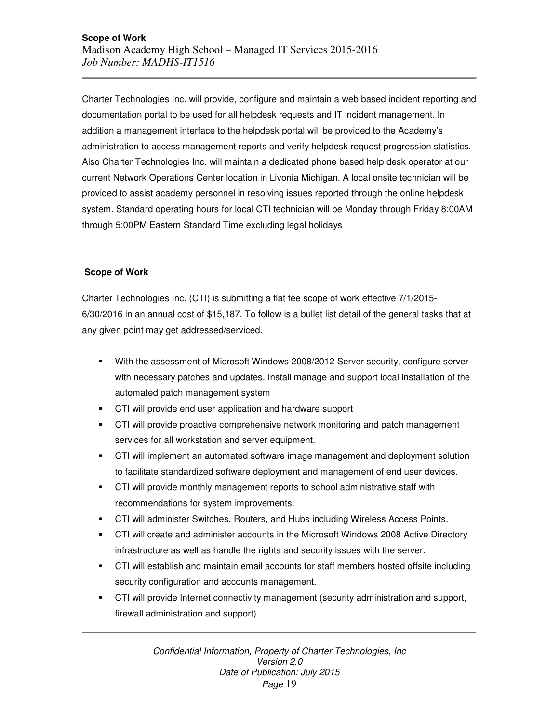Charter Technologies Inc. will provide, configure and maintain a web based incident reporting and documentation portal to be used for all helpdesk requests and IT incident management. In addition a management interface to the helpdesk portal will be provided to the Academy's administration to access management reports and verify helpdesk request progression statistics. Also Charter Technologies Inc. will maintain a dedicated phone based help desk operator at our current Network Operations Center location in Livonia Michigan. A local onsite technician will be provided to assist academy personnel in resolving issues reported through the online helpdesk system. Standard operating hours for local CTI technician will be Monday through Friday 8:00AM through 5:00PM Eastern Standard Time excluding legal holidays

# **Scope of Work**

Charter Technologies Inc. (CTI) is submitting a flat fee scope of work effective 7/1/2015- 6/30/2016 in an annual cost of \$15,187. To follow is a bullet list detail of the general tasks that at any given point may get addressed/serviced.

- With the assessment of Microsoft Windows 2008/2012 Server security, configure server with necessary patches and updates. Install manage and support local installation of the automated patch management system
- CTI will provide end user application and hardware support
- CTI will provide proactive comprehensive network monitoring and patch management services for all workstation and server equipment.
- CTI will implement an automated software image management and deployment solution to facilitate standardized software deployment and management of end user devices.
- CTI will provide monthly management reports to school administrative staff with recommendations for system improvements.
- CTI will administer Switches, Routers, and Hubs including Wireless Access Points.
- CTI will create and administer accounts in the Microsoft Windows 2008 Active Directory infrastructure as well as handle the rights and security issues with the server.
- CTI will establish and maintain email accounts for staff members hosted offsite including security configuration and accounts management.
- CTI will provide Internet connectivity management (security administration and support, firewall administration and support)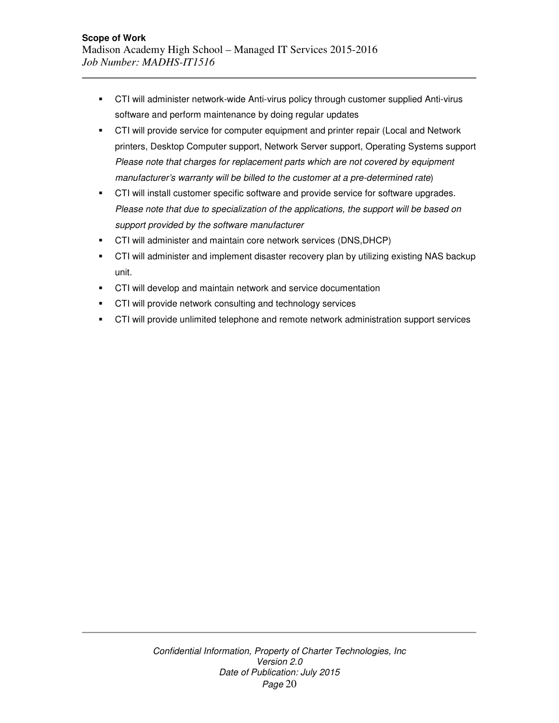- CTI will administer network-wide Anti-virus policy through customer supplied Anti-virus software and perform maintenance by doing regular updates
- **•** CTI will provide service for computer equipment and printer repair (Local and Network printers, Desktop Computer support, Network Server support, Operating Systems support Please note that charges for replacement parts which are not covered by equipment manufacturer's warranty will be billed to the customer at a pre-determined rate)
- **CTI will install customer specific software and provide service for software upgrades.** Please note that due to specialization of the applications, the support will be based on support provided by the software manufacturer
- CTI will administer and maintain core network services (DNS,DHCP)
- CTI will administer and implement disaster recovery plan by utilizing existing NAS backup unit.
- **CTI will develop and maintain network and service documentation**
- **CTI will provide network consulting and technology services**
- CTI will provide unlimited telephone and remote network administration support services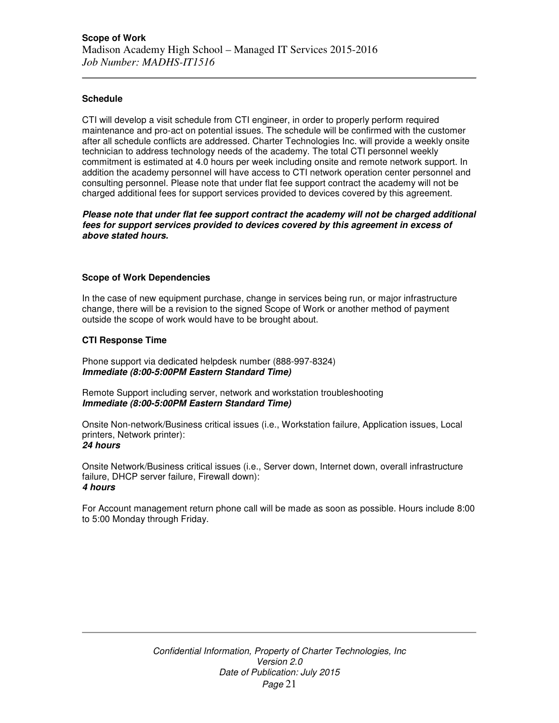# **Schedule**

CTI will develop a visit schedule from CTI engineer, in order to properly perform required maintenance and pro-act on potential issues. The schedule will be confirmed with the customer after all schedule conflicts are addressed. Charter Technologies Inc. will provide a weekly onsite technician to address technology needs of the academy. The total CTI personnel weekly commitment is estimated at 4.0 hours per week including onsite and remote network support. In addition the academy personnel will have access to CTI network operation center personnel and consulting personnel. Please note that under flat fee support contract the academy will not be charged additional fees for support services provided to devices covered by this agreement.

**Please note that under flat fee support contract the academy will not be charged additional fees for support services provided to devices covered by this agreement in excess of above stated hours.** 

### **Scope of Work Dependencies**

In the case of new equipment purchase, change in services being run, or major infrastructure change, there will be a revision to the signed Scope of Work or another method of payment outside the scope of work would have to be brought about.

# **CTI Response Time**

Phone support via dedicated helpdesk number (888-997-8324) **Immediate (8:00-5:00PM Eastern Standard Time)** 

Remote Support including server, network and workstation troubleshooting **Immediate (8:00-5:00PM Eastern Standard Time)** 

Onsite Non-network/Business critical issues (i.e., Workstation failure, Application issues, Local printers, Network printer): **24 hours** 

Onsite Network/Business critical issues (i.e., Server down, Internet down, overall infrastructure failure, DHCP server failure, Firewall down): **4 hours** 

For Account management return phone call will be made as soon as possible. Hours include 8:00 to 5:00 Monday through Friday.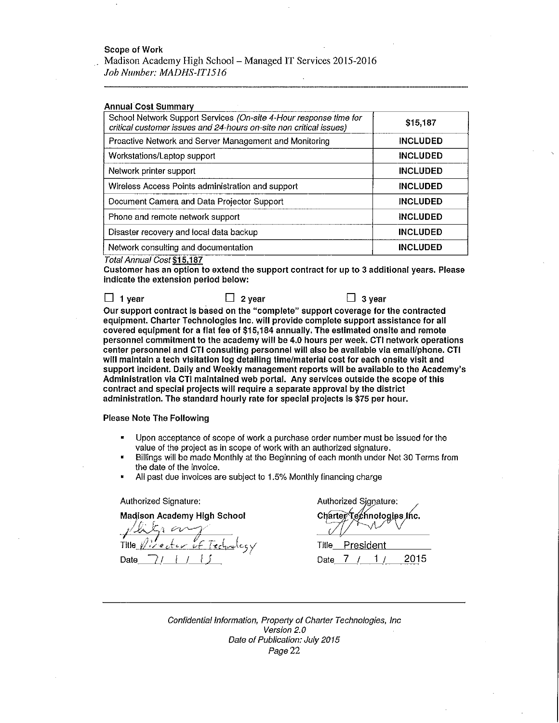#### **Scope of Work**

Madison Academy High School - Managed IT Services 2015-2016 Job Number: MADHS-IT1516

**Annual Cost Summary** 

| School Network Support Services (On-site 4-Hour response time for<br>critical customer issues and 24-hours on-site non critical issues) | \$15,187        |
|-----------------------------------------------------------------------------------------------------------------------------------------|-----------------|
| Proactive Network and Server Management and Monitoring                                                                                  | <b>INCLUDED</b> |
| Workstations/Laptop support                                                                                                             | <b>INCLUDED</b> |
| Network printer support                                                                                                                 | <b>INCLUDED</b> |
| Wireless Access Points administration and support                                                                                       | <b>INCLUDED</b> |
| Document Camera and Data Projector Support                                                                                              | <b>INCLUDED</b> |
| Phone and remote network support                                                                                                        | <b>INCLUDED</b> |
| Disaster recovery and local data backup                                                                                                 | <b>INCLUDED</b> |
| Network consulting and documentation                                                                                                    | <b>INCLUDED</b> |

Total Annual Cost \$15,187

Customer has an option to extend the support contract for up to 3 additional years. Please indicate the extension period below:

 $\Box$  1 year  $\Box$  2 year  $\Box$  3 year Our support contract is based on the "complete" support coverage for the contracted equipment. Charter Technologies Inc. will provide complete support assistance for all covered equipment for a flat fee of \$15,184 annually. The estimated onsite and remote personnel commitment to the academy will be 4.0 hours per week. CTI network operations center personnel and CTI consulting personnel will also be available via email/phone. CTI will maintain a tech visitation log detailing time/material cost for each onsite visit and support incident. Daily and Weekly management reports will be available to the Academy's Administration via CTI maintained web portal. Any services outside the scope of this contract and special projects will require a separate approval by the district administration. The standard hourly rate for special projects is \$75 per hour.

**Please Note The Following** 

- Upon acceptance of scope of work a purchase order number must be issued for the value of the project as in scope of work with an authorized signature.
- Billings will be made Monthly at the Beginning of each month under Net 30 Terms from the date of the invoice.
- All past due invoices are subject to 1.5% Monthly financing charge

Authorized Signature:

**Madison Academy High School** 

Title Date

Authorized Signature: Charter Technologies Inc.

Title President  $1/$ 2015 7 Date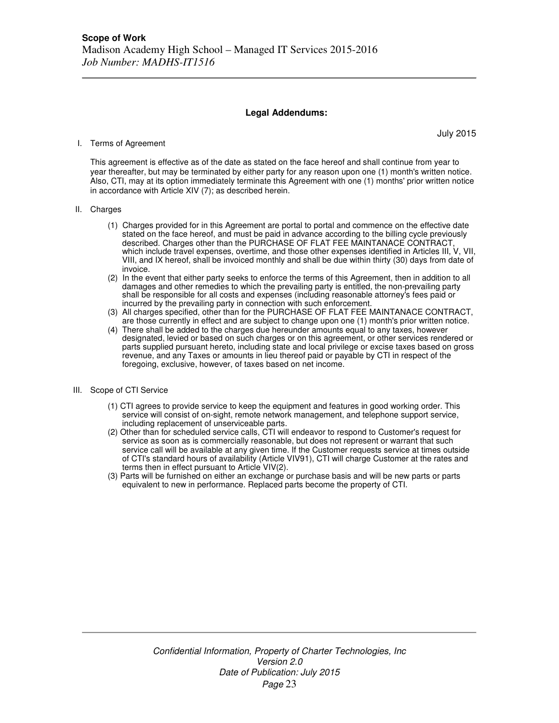### **Legal Addendums:**

#### I. Terms of Agreement

July 2015

This agreement is effective as of the date as stated on the face hereof and shall continue from year to year thereafter, but may be terminated by either party for any reason upon one (1) month's written notice. Also, CTI, may at its option immediately terminate this Agreement with one (1) months' prior written notice in accordance with Article XIV (7); as described herein.

#### II. Charges

- (1) Charges provided for in this Agreement are portal to portal and commence on the effective date stated on the face hereof, and must be paid in advance according to the billing cycle previously described. Charges other than the PURCHASE OF FLAT FEE MAINTANACE CONTRACT, which include travel expenses, overtime, and those other expenses identified in Articles III, V, VII, VIII, and IX hereof, shall be invoiced monthly and shall be due within thirty (30) days from date of invoice.
- (2) In the event that either party seeks to enforce the terms of this Agreement, then in addition to all damages and other remedies to which the prevailing party is entitled, the non-prevailing party shall be responsible for all costs and expenses (including reasonable attorney's fees paid or incurred by the prevailing party in connection with such enforcement.
- (3) All charges specified, other than for the PURCHASE OF FLAT FEE MAINTANACE CONTRACT, are those currently in effect and are subject to change upon one (1) month's prior written notice.
- (4) There shall be added to the charges due hereunder amounts equal to any taxes, however designated, levied or based on such charges or on this agreement, or other services rendered or parts supplied pursuant hereto, including state and local privilege or excise taxes based on gross revenue, and any Taxes or amounts in lieu thereof paid or payable by CTI in respect of the foregoing, exclusive, however, of taxes based on net income.
- III. Scope of CTI Service
	- (1) CTI agrees to provide service to keep the equipment and features in good working order. This service will consist of on-sight, remote network management, and telephone support service, including replacement of unserviceable parts.
	- (2) Other than for scheduled service calls, CTI will endeavor to respond to Customer's request for service as soon as is commercially reasonable, but does not represent or warrant that such service call will be available at any given time. If the Customer requests service at times outside of CTI's standard hours of availability (Article VIV91), CTI will charge Customer at the rates and terms then in effect pursuant to Article VIV(2).
	- (3) Parts will be furnished on either an exchange or purchase basis and will be new parts or parts equivalent to new in performance. Replaced parts become the property of CTI.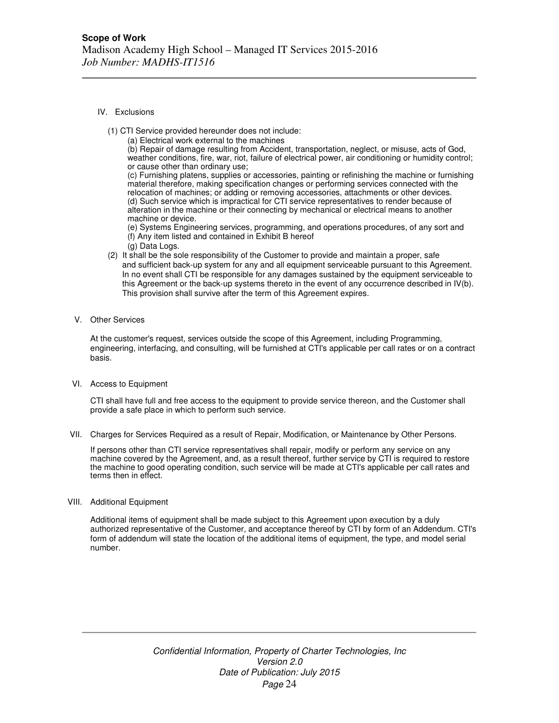- IV. Exclusions
	- (1) CTI Service provided hereunder does not include:
		- (a) Electrical work external to the machines

(b) Repair of damage resulting from Accident, transportation, neglect, or misuse, acts of God, weather conditions, fire, war, riot, failure of electrical power, air conditioning or humidity control; or cause other than ordinary use;

(c) Furnishing platens, supplies or accessories, painting or refinishing the machine or furnishing material therefore, making specification changes or performing services connected with the relocation of machines; or adding or removing accessories, attachments or other devices. (d) Such service which is impractical for CTI service representatives to render because of alteration in the machine or their connecting by mechanical or electrical means to another machine or device.

(e) Systems Engineering services, programming, and operations procedures, of any sort and (f) Any item listed and contained in Exhibit B hereof

- (g) Data Logs.
- (2) It shall be the sole responsibility of the Customer to provide and maintain a proper, safe and sufficient back-up system for any and all equipment serviceable pursuant to this Agreement. In no event shall CTI be responsible for any damages sustained by the equipment serviceable to this Agreement or the back-up systems thereto in the event of any occurrence described in IV(b). This provision shall survive after the term of this Agreement expires.
- V. Other Services

At the customer's request, services outside the scope of this Agreement, including Programming, engineering, interfacing, and consulting, will be furnished at CTI's applicable per call rates or on a contract basis.

VI. Access to Equipment

CTI shall have full and free access to the equipment to provide service thereon, and the Customer shall provide a safe place in which to perform such service.

VII. Charges for Services Required as a result of Repair, Modification, or Maintenance by Other Persons.

If persons other than CTI service representatives shall repair, modify or perform any service on any machine covered by the Agreement, and, as a result thereof, further service by CTI is required to restore the machine to good operating condition, such service will be made at CTI's applicable per call rates and terms then in effect.

VIII. Additional Equipment

Additional items of equipment shall be made subject to this Agreement upon execution by a duly authorized representative of the Customer, and acceptance thereof by CTI by form of an Addendum. CTI's form of addendum will state the location of the additional items of equipment, the type, and model serial number.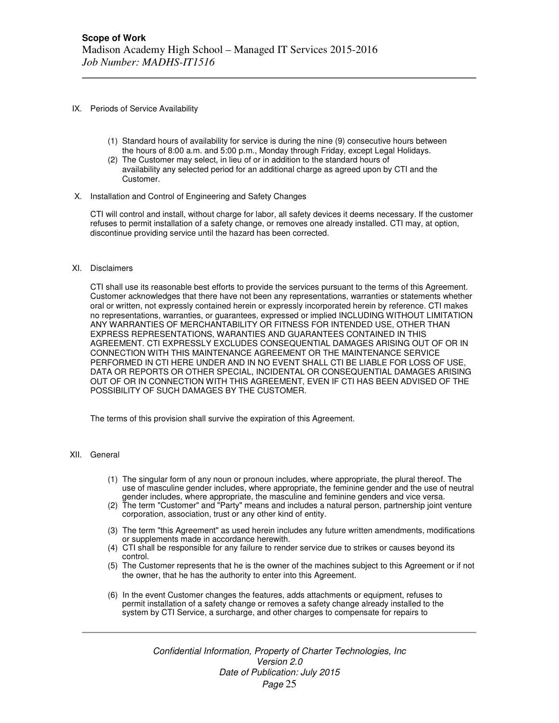- IX. Periods of Service Availability
	- (1) Standard hours of availability for service is during the nine (9) consecutive hours between the hours of 8:00 a.m. and 5:00 p.m., Monday through Friday, except Legal Holidays.
	- (2) The Customer may select, in lieu of or in addition to the standard hours of availability any selected period for an additional charge as agreed upon by CTI and the Customer.
- X. Installation and Control of Engineering and Safety Changes

CTI will control and install, without charge for labor, all safety devices it deems necessary. If the customer refuses to permit installation of a safety change, or removes one already installed. CTI may, at option, discontinue providing service until the hazard has been corrected.

#### XI. Disclaimers

CTI shall use its reasonable best efforts to provide the services pursuant to the terms of this Agreement. Customer acknowledges that there have not been any representations, warranties or statements whether oral or written, not expressly contained herein or expressly incorporated herein by reference. CTI makes no representations, warranties, or guarantees, expressed or implied INCLUDING WITHOUT LIMITATION ANY WARRANTIES OF MERCHANTABILITY OR FITNESS FOR INTENDED USE, OTHER THAN EXPRESS REPRESENTATIONS, WARANTIES AND GUARANTEES CONTAINED IN THIS AGREEMENT. CTI EXPRESSLY EXCLUDES CONSEQUENTIAL DAMAGES ARISING OUT OF OR IN CONNECTION WITH THIS MAINTENANCE AGREEMENT OR THE MAINTENANCE SERVICE PERFORMED IN CTI HERE UNDER AND IN NO EVENT SHALL CTI BE LIABLE FOR LOSS OF USE, DATA OR REPORTS OR OTHER SPECIAL, INCIDENTAL OR CONSEQUENTIAL DAMAGES ARISING OUT OF OR IN CONNECTION WITH THIS AGREEMENT, EVEN IF CTI HAS BEEN ADVISED OF THE POSSIBILITY OF SUCH DAMAGES BY THE CUSTOMER.

The terms of this provision shall survive the expiration of this Agreement.

### XII. General

- (1) The singular form of any noun or pronoun includes, where appropriate, the plural thereof. The use of masculine gender includes, where appropriate, the feminine gender and the use of neutral gender includes, where appropriate, the masculine and feminine genders and vice versa.
- (2) The term "Customer" and "Party" means and includes a natural person, partnership joint venture corporation, association, trust or any other kind of entity.
- (3) The term "this Agreement" as used herein includes any future written amendments, modifications or supplements made in accordance herewith.
- (4) CTI shall be responsible for any failure to render service due to strikes or causes beyond its control.
- (5) The Customer represents that he is the owner of the machines subject to this Agreement or if not the owner, that he has the authority to enter into this Agreement.
- (6) In the event Customer changes the features, adds attachments or equipment, refuses to permit installation of a safety change or removes a safety change already installed to the system by CTI Service, a surcharge, and other charges to compensate for repairs to